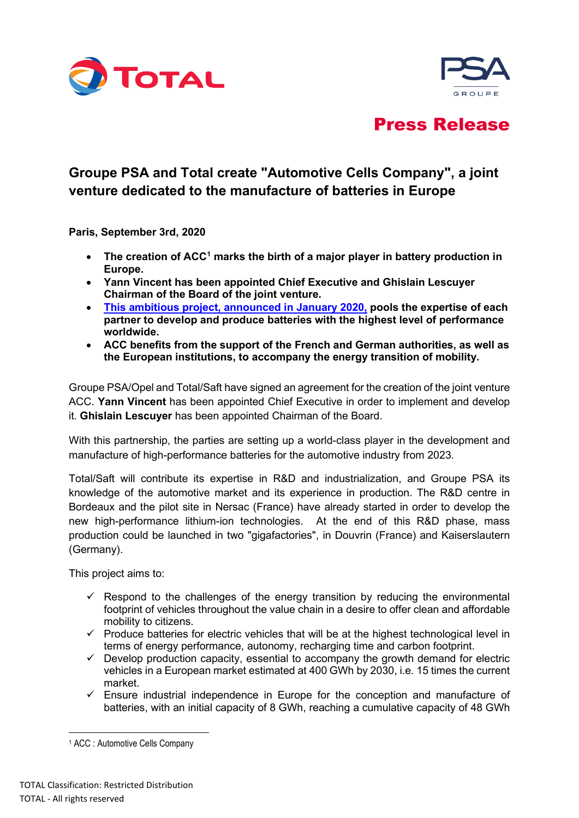



# Press Release

# **Groupe PSA and Total create "Automotive Cells Company", a joint venture dedicated to the manufacture of batteries in Europe**

**Paris, September 3rd, 2020**

- **The creation of ACC[1](#page-0-0) marks the birth of a major player in battery production in Europe.**
- **Yann Vincent has been appointed Chief Executive and Ghislain Lescuyer Chairman of the Board of the joint venture.**
- **[This ambitious project, announced in January 2020,](https://www.saftbatteries.com/media-resources/press-releases/launch-pilot-plant-manufacture-european-batteries-electric-vehicles) pools the expertise of each partner to develop and produce batteries with the highest level of performance worldwide.**
- **ACC benefits from the support of the French and German authorities, as well as the European institutions, to accompany the energy transition of mobility.**

Groupe PSA/Opel and Total/Saft have signed an agreement for the creation of the joint venture ACC. **Yann Vincent** has been appointed Chief Executive in order to implement and develop it. **Ghislain Lescuyer** has been appointed Chairman of the Board.

With this partnership, the parties are setting up a world-class player in the development and manufacture of high-performance batteries for the automotive industry from 2023.

Total/Saft will contribute its expertise in R&D and industrialization, and Groupe PSA its knowledge of the automotive market and its experience in production. The R&D centre in Bordeaux and the pilot site in Nersac (France) have already started in order to develop the new high-performance lithium-ion technologies. At the end of this R&D phase, mass production could be launched in two "gigafactories", in Douvrin (France) and Kaiserslautern (Germany).

This project aims to:

- $\checkmark$  Respond to the challenges of the energy transition by reducing the environmental footprint of vehicles throughout the value chain in a desire to offer clean and affordable mobility to citizens.
- $\checkmark$  Produce batteries for electric vehicles that will be at the highest technological level in terms of energy performance, autonomy, recharging time and carbon footprint.
- $\checkmark$  Develop production capacity, essential to accompany the growth demand for electric vehicles in a European market estimated at 400 GWh by 2030, i.e. 15 times the current market.
- $\checkmark$  Ensure industrial independence in Europe for the conception and manufacture of batteries, with an initial capacity of 8 GWh, reaching a cumulative capacity of 48 GWh

<span id="page-0-0"></span><sup>1</sup> ACC : Automotive Cells Company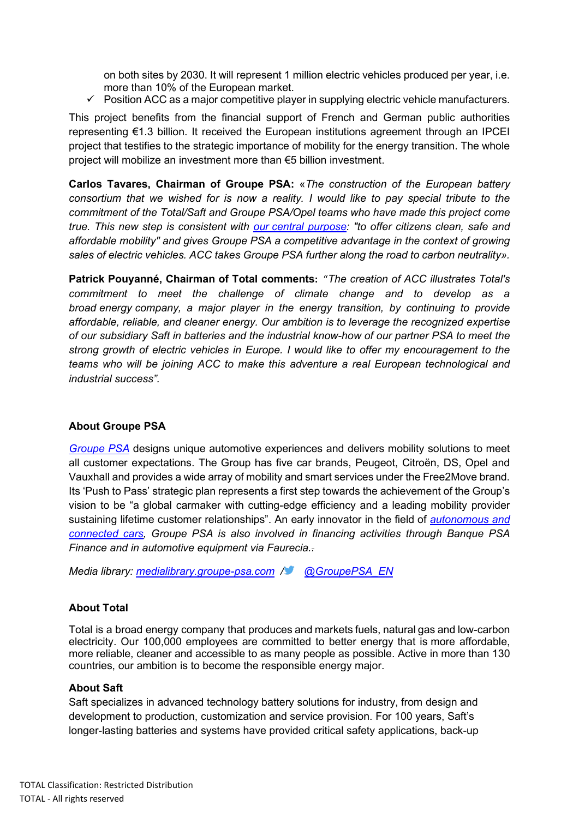on both sites by 2030. It will represent 1 million electric vehicles produced per year, i.e. more than 10% of the European market.

 $\checkmark$  Position ACC as a major competitive player in supplying electric vehicle manufacturers.

This project benefits from the financial support of French and German public authorities representing €1.3 billion. It received the European institutions agreement through an IPCEI project that testifies to the strategic importance of mobility for the energy transition. The whole project will mobilize an investment more than €5 billion investment.

**Carlos Tavares, Chairman of Groupe PSA:** «*The construction of the European battery consortium that we wished for is now a reality. I would like to pay special tribute to the commitment of the Total/Saft and Groupe PSA/Opel teams who have made this project come true. This new step is consistent with our [central purpose:](https://www.groupe-psa.com/en/our-central-purpose/) "to offer citizens clean, safe and affordable mobility" and gives Groupe PSA a competitive advantage in the context of growing sales of electric vehicles. ACC takes Groupe PSA further along the road to carbon neutrality».*

**Patrick Pouyanné, Chairman of Total comments:** "*The creation of ACC illustrates Total's commitment to meet the challenge of climate change and to develop as a broad energy company, a major player in the energy transition, by continuing to provide affordable, reliable, and cleaner energy. Our ambition is to leverage the recognized expertise of our subsidiary Saft in batteries and the industrial know-how of our partner PSA to meet the strong growth of electric vehicles in Europe. I would like to offer my encouragement to the teams who will be joining ACC to make this adventure a real European technological and industrial success".*

### **About Groupe PSA**

*[Groupe PSA](https://www.groupe-psa.com/fr)* designs unique automotive experiences and delivers mobility solutions to meet all customer expectations. The Group has five car brands, Peugeot, Citroën, DS, Opel and Vauxhall and provides a wide array of mobility and smart services under the Free2Move brand. Its 'Push to Pass' strategic plan represents a first step towards the achievement of the Group's vision to be "a global carmaker with cutting-edge efficiency and a leading mobility provider sustaining lifetime customer relationships". An early innovator in the field of *[autonomous and](https://www.groupe-psa.com/en/story/en-route-vers-la-voiture-autonome/)  [connected cars,](https://www.groupe-psa.com/en/story/en-route-vers-la-voiture-autonome/) Groupe PSA is also involved in financing activities through Banque PSA Finance and in automotive equipment via Faurecia..*

*Media library: [medialibrary.groupe-psa.com](http://medialibrary.groupe-psa.com/) / [@GroupePSA\\_EN](https://twitter.com/GroupePSA_EN)*

## **About Total**

Total is a broad energy company that produces and markets fuels, natural gas and low-carbon electricity. Our 100,000 employees are committed to better energy that is more affordable, more reliable, cleaner and accessible to as many people as possible. Active in more than 130 countries, our ambition is to become the responsible energy major.

### **About Saft**

Saft specializes in advanced technology battery solutions for industry, from design and development to production, customization and service provision. For 100 years, Saft's longer-lasting batteries and systems have provided critical safety applications, back-up